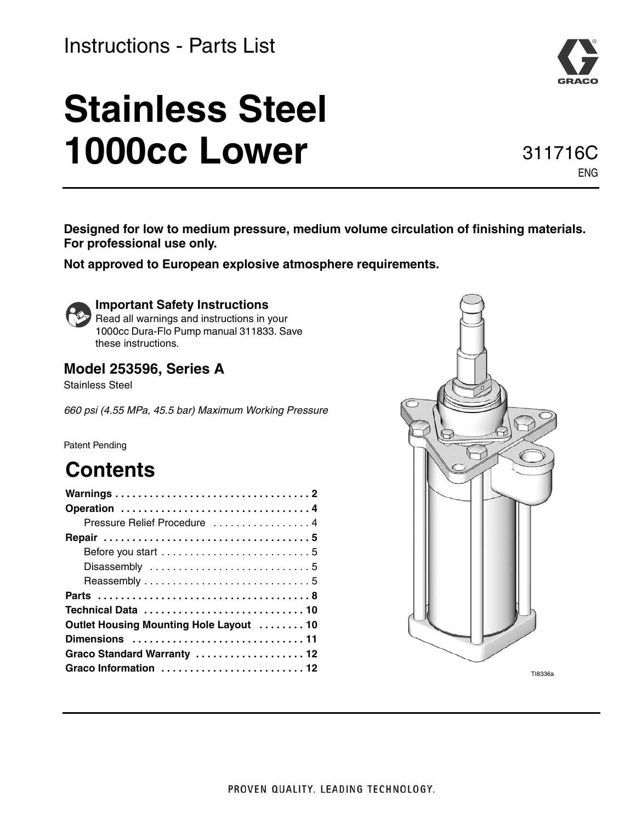### Instructions - Parts List

# **Stainless Steel 1000cc Lower**

**Designed for low to medium pressure, medium volume circulation of finishing materials. For professional use only.** 

**Not approved to European explosive atmosphere requirements.**



### **Important Safety Instructions**

**Read all warnings and instructions in your** 1000cc Dura-Flo Pump manual 311833. Save these instructions.

### **Model 253596, Series A**

Stainless Steel

*660 psi (4.55 MPa, 45.5 bar) Maximum Working Pressure*

#### Patent Pending

### **Contents**

| Pressure Relief Procedure  4            |
|-----------------------------------------|
|                                         |
|                                         |
|                                         |
|                                         |
|                                         |
|                                         |
| Outlet Housing Mounting Hole Layout  10 |
|                                         |
| Graco Standard Warranty  12             |
| Graco Information  12                   |
|                                         |



TI8336a



ENG

311716C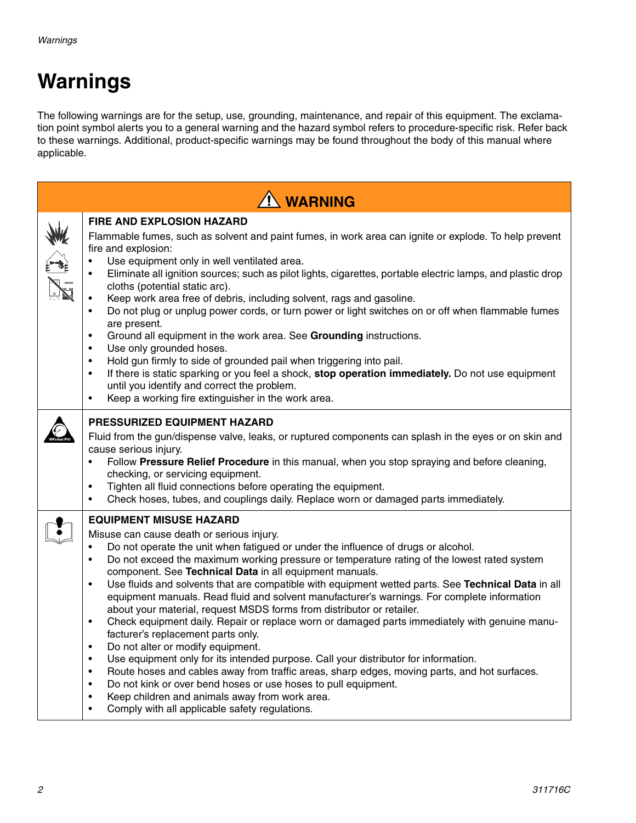## <span id="page-1-0"></span>**Warnings**

The following warnings are for the setup, use, grounding, maintenance, and repair of this equipment. The exclamation point symbol alerts you to a general warning and the hazard symbol refers to procedure-specific risk. Refer back to these warnings. Additional, product-specific warnings may be found throughout the body of this manual where applicable.

| <b>1 WARNING</b> |                                                                                                                                                                                                                                                                                                                                                                                                                                                                                                                                                                                                                                                                                                                                                                                                                                                                                                                                                                                                                                                                                                                                                                                                                                                                                     |  |  |  |  |  |
|------------------|-------------------------------------------------------------------------------------------------------------------------------------------------------------------------------------------------------------------------------------------------------------------------------------------------------------------------------------------------------------------------------------------------------------------------------------------------------------------------------------------------------------------------------------------------------------------------------------------------------------------------------------------------------------------------------------------------------------------------------------------------------------------------------------------------------------------------------------------------------------------------------------------------------------------------------------------------------------------------------------------------------------------------------------------------------------------------------------------------------------------------------------------------------------------------------------------------------------------------------------------------------------------------------------|--|--|--|--|--|
|                  | <b>FIRE AND EXPLOSION HAZARD</b><br>Flammable fumes, such as solvent and paint fumes, in work area can ignite or explode. To help prevent<br>fire and explosion:<br>Use equipment only in well ventilated area.<br>$\bullet$<br>Eliminate all ignition sources; such as pilot lights, cigarettes, portable electric lamps, and plastic drop<br>$\bullet$<br>cloths (potential static arc).<br>Keep work area free of debris, including solvent, rags and gasoline.<br>Do not plug or unplug power cords, or turn power or light switches on or off when flammable fumes<br>$\bullet$<br>are present.<br>Ground all equipment in the work area. See Grounding instructions.<br>$\bullet$<br>Use only grounded hoses.<br>$\bullet$<br>Hold gun firmly to side of grounded pail when triggering into pail.<br>$\bullet$<br>If there is static sparking or you feel a shock, stop operation immediately. Do not use equipment<br>$\bullet$<br>until you identify and correct the problem.<br>Keep a working fire extinguisher in the work area.<br>$\bullet$                                                                                                                                                                                                                            |  |  |  |  |  |
|                  | <b>PRESSURIZED EQUIPMENT HAZARD</b><br>Fluid from the gun/dispense valve, leaks, or ruptured components can splash in the eyes or on skin and<br>cause serious injury.<br>Follow Pressure Relief Procedure in this manual, when you stop spraying and before cleaning,<br>$\bullet$<br>checking, or servicing equipment.<br>Tighten all fluid connections before operating the equipment.<br>$\bullet$<br>Check hoses, tubes, and couplings daily. Replace worn or damaged parts immediately.<br>$\bullet$                                                                                                                                                                                                                                                                                                                                                                                                                                                                                                                                                                                                                                                                                                                                                                          |  |  |  |  |  |
|                  | <b>EQUIPMENT MISUSE HAZARD</b><br>Misuse can cause death or serious injury.<br>Do not operate the unit when fatigued or under the influence of drugs or alcohol.<br>$\bullet$<br>Do not exceed the maximum working pressure or temperature rating of the lowest rated system<br>$\bullet$<br>component. See Technical Data in all equipment manuals.<br>Use fluids and solvents that are compatible with equipment wetted parts. See Technical Data in all<br>$\bullet$<br>equipment manuals. Read fluid and solvent manufacturer's warnings. For complete information<br>about your material, request MSDS forms from distributor or retailer.<br>Check equipment daily. Repair or replace worn or damaged parts immediately with genuine manu-<br>$\bullet$<br>facturer's replacement parts only.<br>Do not alter or modify equipment.<br>$\bullet$<br>Use equipment only for its intended purpose. Call your distributor for information.<br>$\bullet$<br>Route hoses and cables away from traffic areas, sharp edges, moving parts, and hot surfaces.<br>$\bullet$<br>Do not kink or over bend hoses or use hoses to pull equipment.<br>$\bullet$<br>Keep children and animals away from work area.<br>$\bullet$<br>Comply with all applicable safety regulations.<br>$\bullet$ |  |  |  |  |  |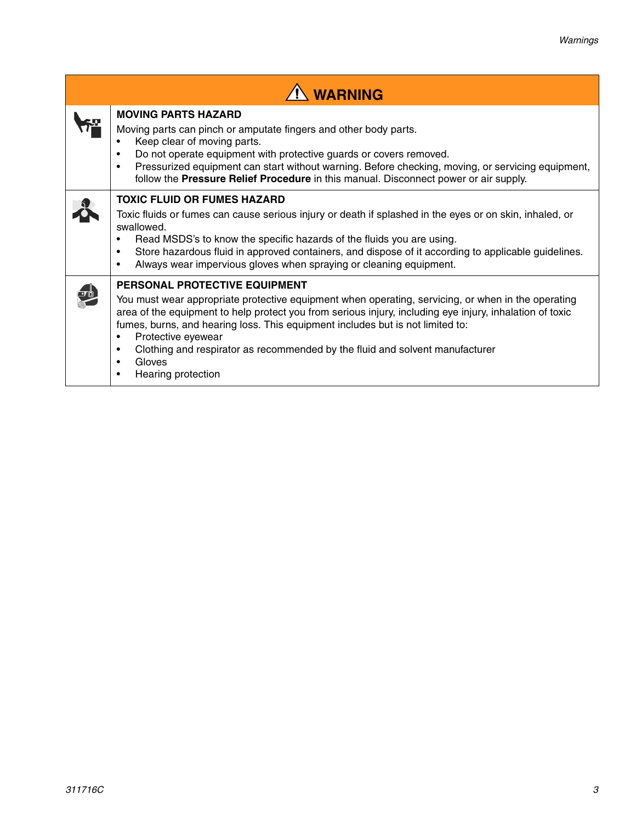| $\hat{I}$ WARNING                                                                                                                                                                                                                                                                                                                                                                                                                                      |  |  |  |  |
|--------------------------------------------------------------------------------------------------------------------------------------------------------------------------------------------------------------------------------------------------------------------------------------------------------------------------------------------------------------------------------------------------------------------------------------------------------|--|--|--|--|
| <b>MOVING PARTS HAZARD</b><br>Moving parts can pinch or amputate fingers and other body parts.<br>Keep clear of moving parts.<br>Do not operate equipment with protective guards or covers removed.<br>٠<br>Pressurized equipment can start without warning. Before checking, moving, or servicing equipment,<br>$\bullet$<br>follow the Pressure Relief Procedure in this manual. Disconnect power or air supply.                                     |  |  |  |  |
| <b>TOXIC FLUID OR FUMES HAZARD</b><br>Toxic fluids or fumes can cause serious injury or death if splashed in the eyes or on skin, inhaled, or<br>swallowed.<br>Read MSDS's to know the specific hazards of the fluids you are using.<br>Store hazardous fluid in approved containers, and dispose of it according to applicable guidelines.<br>٠<br>Always wear impervious gloves when spraying or cleaning equipment.                                 |  |  |  |  |
| PERSONAL PROTECTIVE EQUIPMENT<br>You must wear appropriate protective equipment when operating, servicing, or when in the operating<br>area of the equipment to help protect you from serious injury, including eye injury, inhalation of toxic<br>fumes, burns, and hearing loss. This equipment includes but is not limited to:<br>Protective eyewear<br>٠<br>Clothing and respirator as recommended by the fluid and solvent manufacturer<br>Gloves |  |  |  |  |

• Hearing protection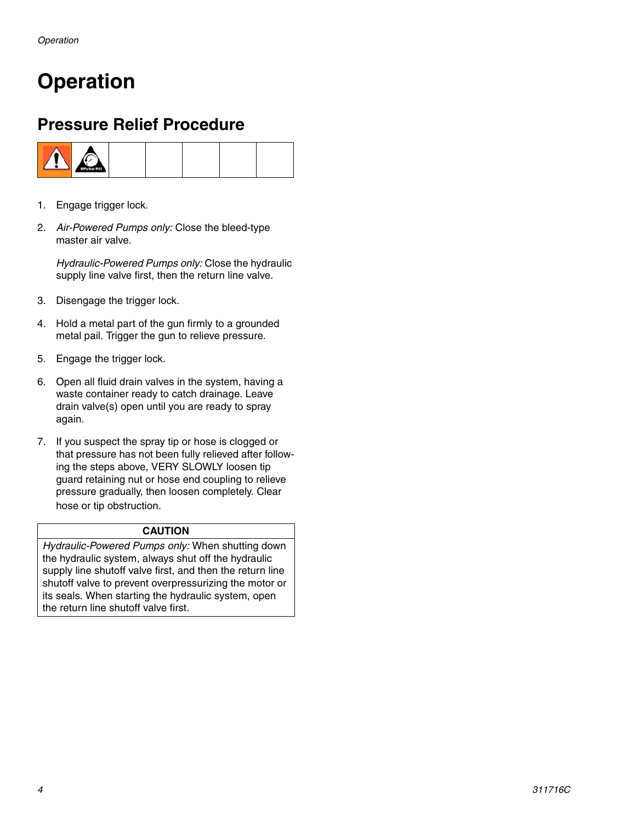## <span id="page-3-0"></span>**Operation**

### <span id="page-3-1"></span>**Pressure Relief Procedure**



- 1. Engage trigger lock.
- 2. *Air-Powered Pumps only:* Close the bleed-type master air valve.

*Hydraulic-Powered Pumps only:* Close the hydraulic supply line valve first, then the return line valve.

- 3. Disengage the trigger lock.
- 4. Hold a metal part of the gun firmly to a grounded metal pail. Trigger the gun to relieve pressure.
- 5. Engage the trigger lock.
- 6. Open all fluid drain valves in the system, having a waste container ready to catch drainage. Leave drain valve(s) open until you are ready to spray again.
- 7. If you suspect the spray tip or hose is clogged or that pressure has not been fully relieved after following the steps above, VERY SLOWLY loosen tip guard retaining nut or hose end coupling to relieve pressure gradually, then loosen completely. Clear hose or tip obstruction.

#### **CAUTION**

*Hydraulic-Powered Pumps only:* When shutting down the hydraulic system, always shut off the hydraulic supply line shutoff valve first, and then the return line shutoff valve to prevent overpressurizing the motor or its seals. When starting the hydraulic system, open the return line shutoff valve first.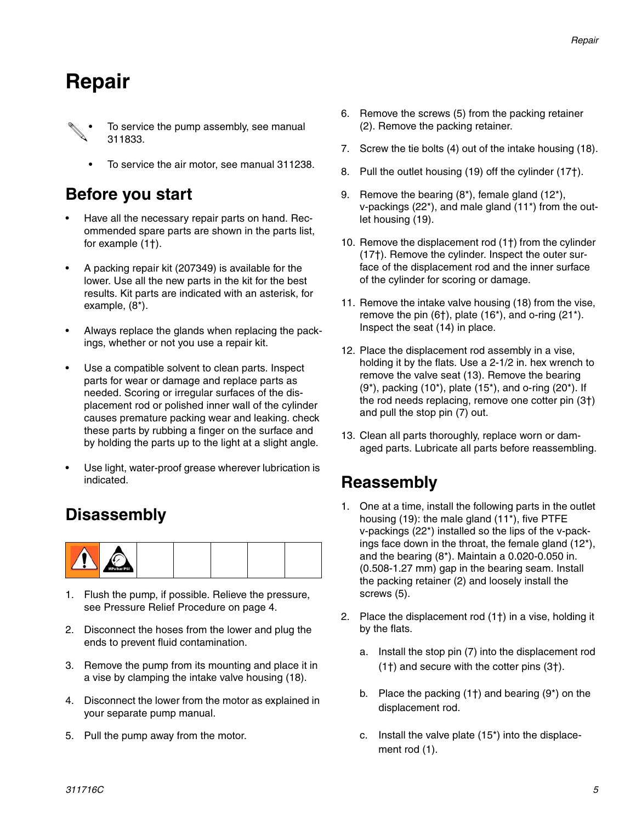### <span id="page-4-0"></span>**Repair**

- To service the pump assembly, see manual 311833.
	- To service the air motor, see manual 311238.

### <span id="page-4-1"></span>**Before you start**

- Have all the necessary repair parts on hand. Recommended spare parts are shown in the parts list, for example (1†).
- A packing repair kit (207349) is available for the lower. Use all the new parts in the kit for the best results. Kit parts are indicated with an asterisk, for example, (8\*).
- Always replace the glands when replacing the packings, whether or not you use a repair kit.
- Use a compatible solvent to clean parts. Inspect parts for wear or damage and replace parts as needed. Scoring or irregular surfaces of the displacement rod or polished inner wall of the cylinder causes premature packing wear and leaking. check these parts by rubbing a finger on the surface and by holding the parts up to the light at a slight angle.
- Use light, water-proof grease wherever lubrication is indicated.

### <span id="page-4-2"></span>**Disassembly**



- 1. Flush the pump, if possible. Relieve the pressure, see Pressure Relief Procedure on page [4](#page-3-1).
- 2. Disconnect the hoses from the lower and plug the ends to prevent fluid contamination.
- 3. Remove the pump from its mounting and place it in a vise by clamping the intake valve housing (18).
- 4. Disconnect the lower from the motor as explained in your separate pump manual.
- 5. Pull the pump away from the motor.
- 6. Remove the screws (5) from the packing retainer (2). Remove the packing retainer.
- 7. Screw the tie bolts (4) out of the intake housing (18).
- 8. Pull the outlet housing (19) off the cylinder (17†).
- 9. Remove the bearing (8\*), female gland (12\*), v-packings (22\*), and male gland (11\*) from the outlet housing (19).
- 10. Remove the displacement rod (1†) from the cylinder (17†). Remove the cylinder. Inspect the outer surface of the displacement rod and the inner surface of the cylinder for scoring or damage.
- 11. Remove the intake valve housing (18) from the vise, remove the pin  $(6<sup>†</sup>)$ , plate  $(16<sup>*</sup>)$ , and o-ring  $(21<sup>*</sup>)$ . Inspect the seat (14) in place.
- 12. Place the displacement rod assembly in a vise, holding it by the flats. Use a 2-1/2 in. hex wrench to remove the valve seat (13). Remove the bearing  $(9^*)$ , packing  $(10^*)$ , plate  $(15^*)$ , and o-ring  $(20^*)$ . If the rod needs replacing, remove one cotter pin (3†) and pull the stop pin (7) out.
- 13. Clean all parts thoroughly, replace worn or damaged parts. Lubricate all parts before reassembling.

### <span id="page-4-3"></span>**Reassembly**

- 1. One at a time, install the following parts in the outlet housing (19): the male gland (11\*), five PTFE v-packings (22\*) installed so the lips of the v-packings face down in the throat, the female gland (12\*), and the bearing (8\*). Maintain a 0.020-0.050 in. (0.508-1.27 mm) gap in the bearing seam. Install the packing retainer (2) and loosely install the screws (5).
- 2. Place the displacement rod (1†) in a vise, holding it by the flats.
	- a. Install the stop pin (7) into the displacement rod (1†) and secure with the cotter pins (3†).
	- b. Place the packing (1†) and bearing (9\*) on the displacement rod.
	- c. Install the valve plate (15\*) into the displacement rod (1).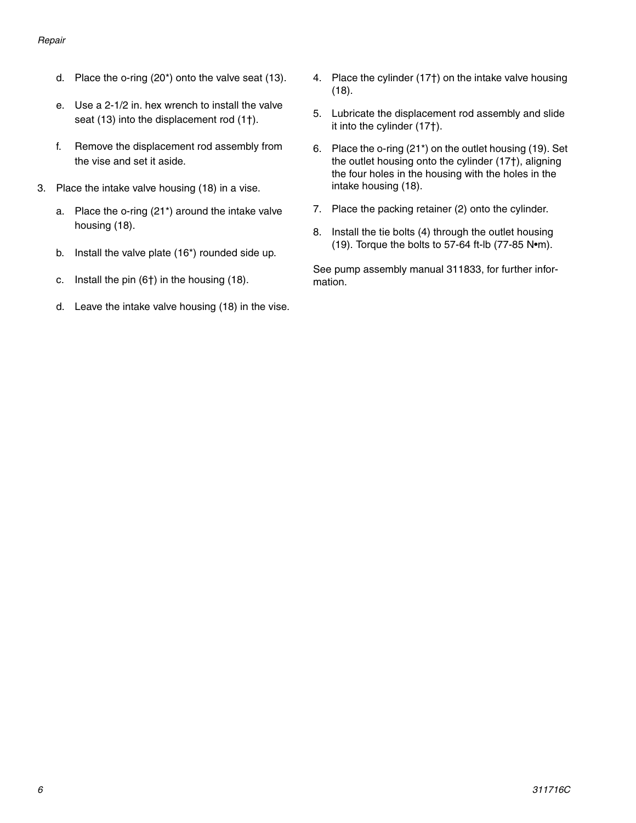- d. Place the o-ring (20\*) onto the valve seat (13).
- e. Use a 2-1/2 in. hex wrench to install the valve seat (13) into the displacement rod (1†).
- f. Remove the displacement rod assembly from the vise and set it aside.
- 3. Place the intake valve housing (18) in a vise.
	- a. Place the o-ring (21\*) around the intake valve housing (18).
	- b. Install the valve plate (16\*) rounded side up.
	- c. Install the pin (6†) in the housing (18).
	- d. Leave the intake valve housing (18) in the vise.
- 4. Place the cylinder (17†) on the intake valve housing (18).
- 5. Lubricate the displacement rod assembly and slide it into the cylinder (17†).
- 6. Place the o-ring (21\*) on the outlet housing (19). Set the outlet housing onto the cylinder (17†), aligning the four holes in the housing with the holes in the intake housing (18).
- 7. Place the packing retainer (2) onto the cylinder.
- 8. Install the tie bolts (4) through the outlet housing (19). Torque the bolts to 57-64 ft-lb (77-85 N•m).

See pump assembly manual 311833, for further information.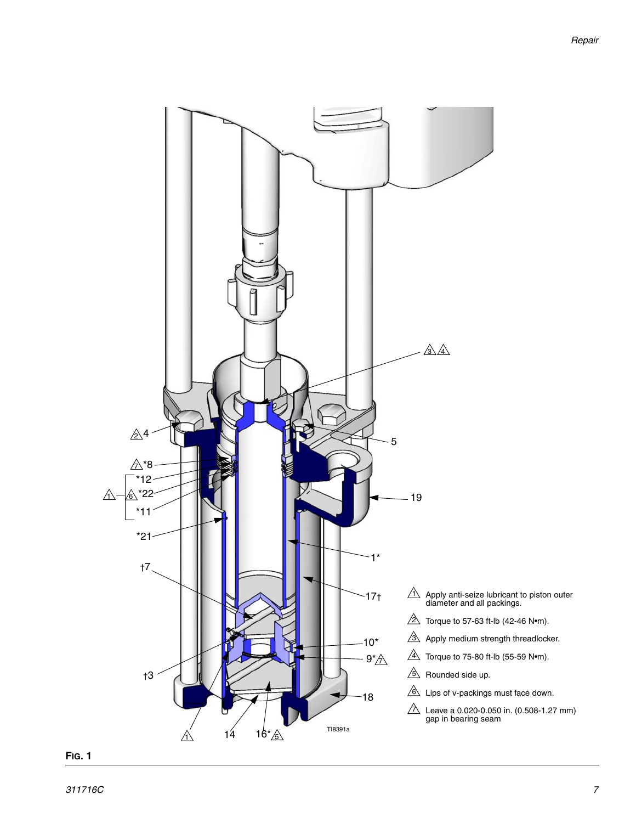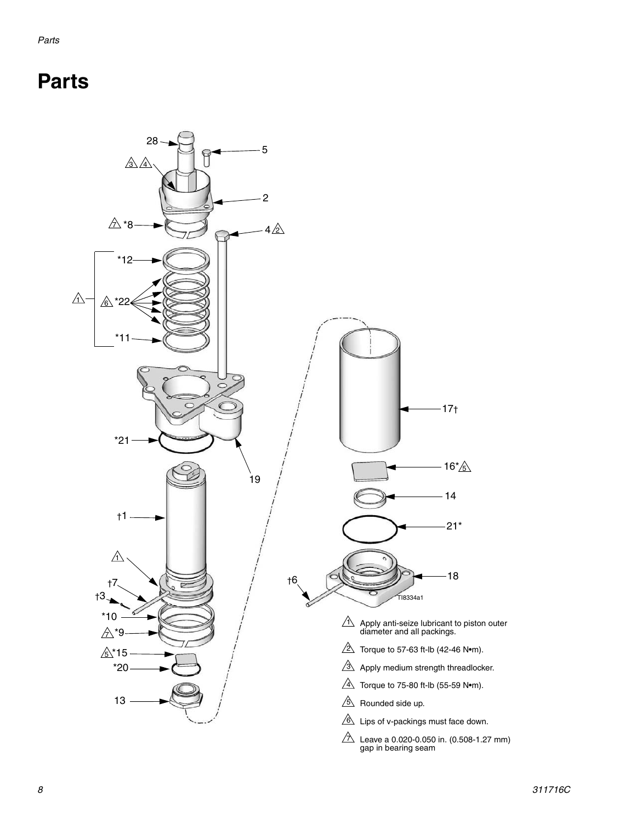## <span id="page-7-0"></span>**Parts**

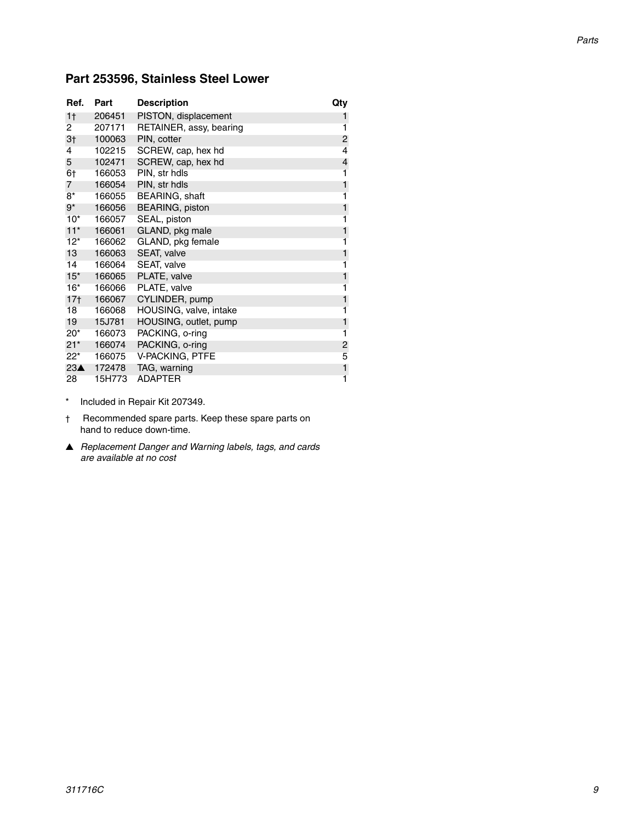#### **Part 253596, Stainless Steel Lower**

| Ref.            | Part   | <b>Description</b>      | Qty |
|-----------------|--------|-------------------------|-----|
| 1 <sub>†</sub>  | 206451 | PISTON, displacement    | 1   |
| 2               | 207171 | RETAINER, assy, bearing | 1   |
| 3 <sub>1</sub>  | 100063 | PIN, cotter             | 2   |
| 4               | 102215 | SCREW, cap, hex hd      | 4   |
| 5               | 102471 | SCREW, cap, hex hd      | 4   |
| 6†              | 166053 | PIN, str hdls           | 1   |
| $\overline{7}$  | 166054 | PIN, str hdls           | 1   |
| $8*$            | 166055 | BEARING, shaft          | 1   |
| $9^*$           | 166056 | <b>BEARING, piston</b>  |     |
| $10*$           | 166057 | SEAL, piston            | 1   |
| $11*$           | 166061 | GLAND, pkg male         | 1   |
| $12*$           | 166062 | GLAND, pkg female       | 1   |
| 13              | 166063 | SEAT, valve             | 1   |
| 14              | 166064 | SEAT, valve             | 1   |
| $15^*$          | 166065 | PLATE, valve            | 1   |
| $16*$           | 166066 | PLATE, valve            | 1   |
| 17 <sub>†</sub> | 166067 | CYLINDER, pump          | 1   |
| 18              | 166068 | HOUSING, valve, intake  | 1   |
| 19              | 15J781 | HOUSING, outlet, pump   | 1   |
| $20^*$          | 166073 | PACKING, o-ring         | 1   |
| $21*$           | 166074 | PACKING, o-ring         | 2   |
| $22^*$          | 166075 | V-PACKING, PTFE         | 5   |
| 23 <sub>A</sub> | 172478 | TAG, warning            | 1   |
| 28              | 15H773 | <b>ADAPTER</b>          | 1   |

- \* Included in Repair Kit 207349.
- † Recommended spare parts. Keep these spare parts on hand to reduce down-time.
- ▲ *Replacement Danger and Warning labels, tags, and cards are available at no cost*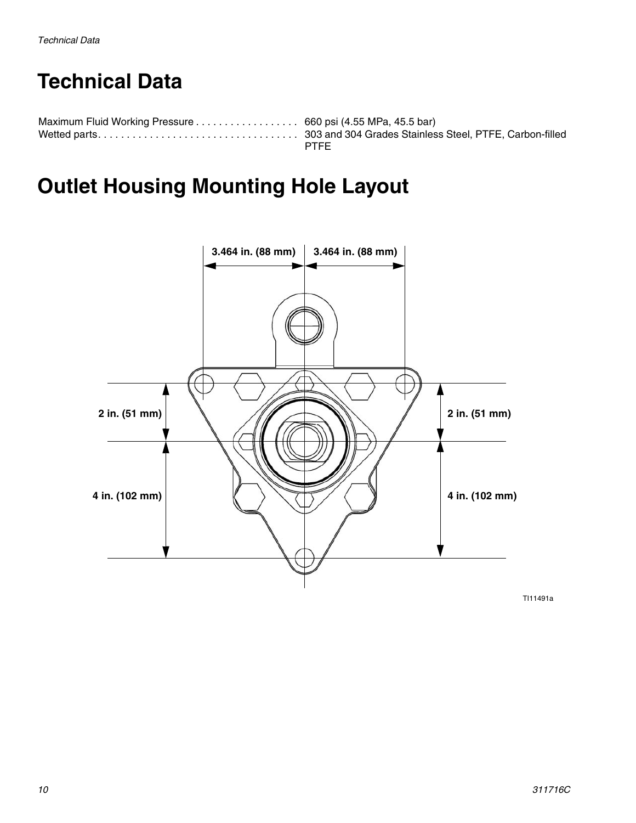## <span id="page-9-0"></span>**Technical Data**

| Maximum Fluid Working Pressure 660 psi (4.55 MPa, 45.5 bar) |             |
|-------------------------------------------------------------|-------------|
|                                                             |             |
|                                                             | <b>PTFF</b> |

## <span id="page-9-1"></span>**Outlet Housing Mounting Hole Layout**



TI11491a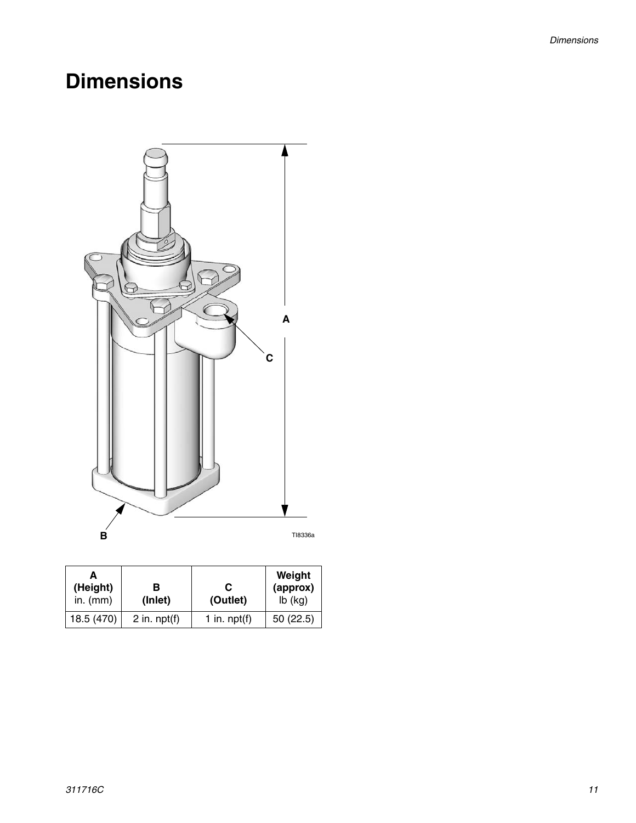## <span id="page-10-0"></span>**Dimensions**



| (Height)<br>in. $(mm)$ | в<br>(Inlet)   | С<br>(Outlet)  | Weight<br>(approx)<br>$lb$ (kg) |
|------------------------|----------------|----------------|---------------------------------|
| 18.5 (470)             | 2 in. $npt(f)$ | 1 in. $npt(f)$ | 50(22.5)                        |